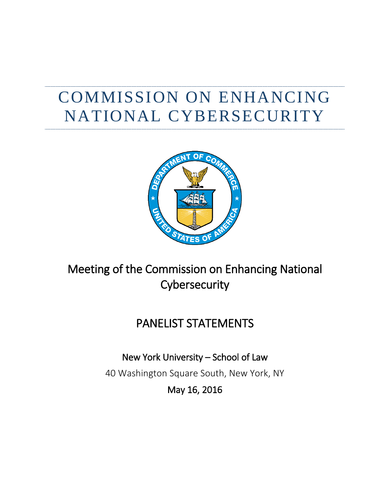# COMMISSION ON ENHANCING NATIONAL CYBERSECURITY



## Meeting of the Commission on Enhancing National **Cybersecurity**

## PANELIST STATEMENTS

### New York University – School of Law

40 Washington Square South, New York, NY

May 16, 2016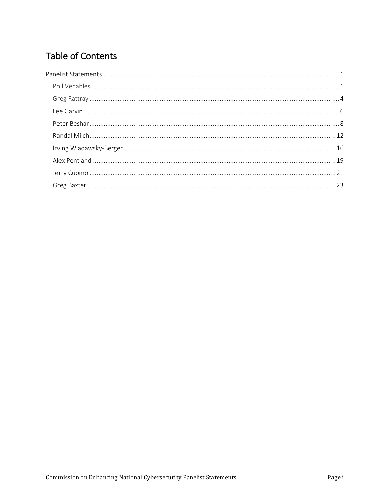## **Table of Contents**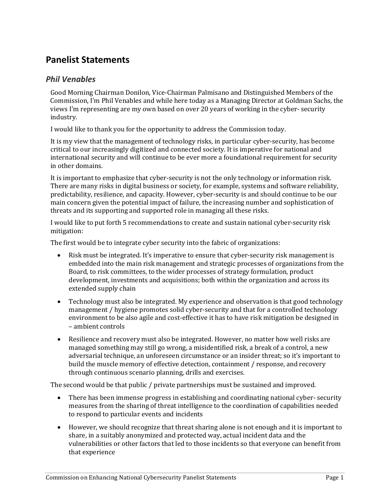### **Panelist Statements**

#### *Phil Venables*

Good Morning Chairman Donilon, Vice-Chairman Palmisano and Distinguished Members of the Commission, I'm Phil Venables and while here today as a Managing Director at Goldman Sachs, the views I'm representing are my own based on over 20 years of working in the cyber- security industry.

I would like to thank you for the opportunity to address the Commission today.

It is my view that the management of technology risks, in particular cyber-security, has become critical to our increasingly digitized and connected society. It is imperative for national and international security and will continue to be ever more a foundational requirement for security in other domains.

It is important to emphasize that cyber-security is not the only technology or information risk. There are many risks in digital business or society, for example, systems and software reliability, predictability, resilience, and capacity. However, cyber-security is and should continue to be our main concern given the potential impact of failure, the increasing number and sophistication of threats and its supporting and supported role in managing all these risks.

I would like to put forth 5 recommendations to create and sustain national cyber-security risk mitigation:

The first would be to integrate cyber security into the fabric of organizations:

- Risk must be integrated. It's imperative to ensure that cyber-security risk management is embedded into the main risk management and strategic processes of organizations from the Board, to risk committees, to the wider processes of strategy formulation, product development, investments and acquisitions; both within the organization and across its extended supply chain
- Technology must also be integrated. My experience and observation is that good technology management / hygiene promotes solid cyber-security and that for a controlled technology environment to be also agile and cost-effective it has to have risk mitigation be designed in – ambient controls
- Resilience and recovery must also be integrated. However, no matter how well risks are managed something may still go wrong, a misidentified risk, a break of a control, a new adversarial technique, an unforeseen circumstance or an insider threat; so it's important to build the muscle memory of effective detection, containment / response, and recovery through continuous scenario planning, drills and exercises.

The second would be that public / private partnerships must be sustained and improved.

- There has been immense progress in establishing and coordinating national cyber- security measures from the sharing of threat intelligence to the coordination of capabilities needed to respond to particular events and incidents
- However, we should recognize that threat sharing alone is not enough and it is important to share, in a suitably anonymized and protected way, actual incident data and the vulnerabilities or other factors that led to those incidents so that everyone can benefit from that experience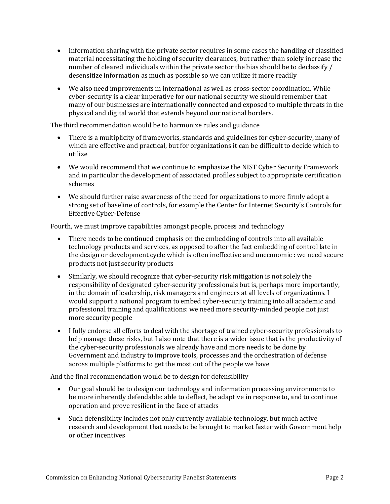- Information sharing with the private sector requires in some cases the handling of classified material necessitating the holding of security clearances, but rather than solely increase the number of cleared individuals within the private sector the bias should be to declassify / desensitize information as much as possible so we can utilize it more readily
- We also need improvements in international as well as cross-sector coordination. While cyber-security is a clear imperative for our national security we should remember that many of our businesses are internationally connected and exposed to multiple threats in the physical and digital world that extends beyond our national borders.

The third recommendation would be to harmonize rules and guidance

- There is a multiplicity of frameworks, standards and guidelines for cyber-security, many of which are effective and practical, but for organizations it can be difficult to decide which to utilize
- We would recommend that we continue to emphasize the NIST Cyber Security Framework and in particular the development of associated profiles subject to appropriate certification schemes
- We should further raise awareness of the need for organizations to more firmly adopt a strong set of baseline of controls, for example the Center for Internet Security's Controls for Effective Cyber-Defense

Fourth, we must improve capabilities amongst people, process and technology

- There needs to be continued emphasis on the embedding of controls into all available technology products and services, as opposed to after the fact embedding of control late in the design or development cycle which is often ineffective and uneconomic : we need secure products not just security products
- Similarly, we should recognize that cyber-security risk mitigation is not solely the responsibility of designated cyber-security professionals but is, perhaps more importantly, in the domain of leadership, risk managers and engineers at all levels of organizations. I would support a national program to embed cyber-security training into all academic and professional training and qualifications: we need more security-minded people not just more security people
- I fully endorse all efforts to deal with the shortage of trained cyber-security professionals to help manage these risks, but I also note that there is a wider issue that is the productivity of the cyber-security professionals we already have and more needs to be done by Government and industry to improve tools, processes and the orchestration of defense across multiple platforms to get the most out of the people we have

And the final recommendation would be to design for defensibility

- Our goal should be to design our technology and information processing environments to be more inherently defendable: able to deflect, be adaptive in response to, and to continue operation and prove resilient in the face of attacks
- Such defensibility includes not only currently available technology, but much active research and development that needs to be brought to market faster with Government help or other incentives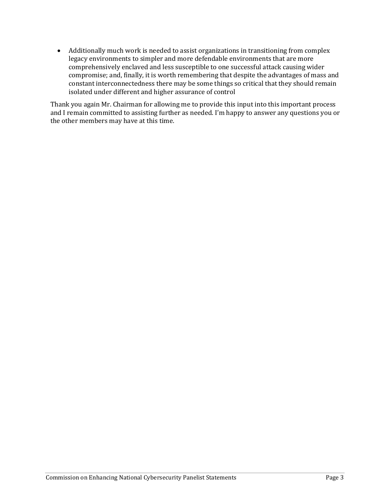• Additionally much work is needed to assist organizations in transitioning from complex legacy environments to simpler and more defendable environments that are more comprehensively enclaved and less susceptible to one successful attack causing wider compromise; and, finally, it is worth remembering that despite the advantages of mass and constant interconnectedness there may be some things so critical that they should remain isolated under different and higher assurance of control

Thank you again Mr. Chairman for allowing me to provide this input into this important process and I remain committed to assisting further as needed. I'm happy to answer any questions you or the other members may have at this time.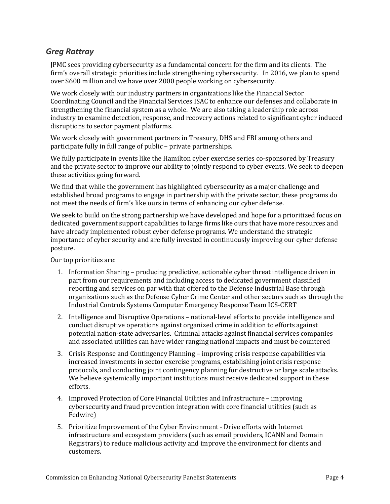#### *Greg Rattray*

JPMC sees providing cybersecurity as a fundamental concern for the firm and its clients. The firm's overall strategic priorities include strengthening cybersecurity. In 2016, we plan to spend over \$600 million and we have over 2000 people working on cybersecurity.

We work closely with our industry partners in organizations like the Financial Sector Coordinating Council and the Financial Services ISAC to enhance our defenses and collaborate in strengthening the financial system as a whole. We are also taking a leadership role across industry to examine detection, response, and recovery actions related to significant cyber induced disruptions to sector payment platforms.

We work closely with government partners in Treasury, DHS and FBI among others and participate fully in full range of public – private partnerships.

We fully participate in events like the Hamilton cyber exercise series co-sponsored by Treasury and the private sector to improve our ability to jointly respond to cyber events. We seek to deepen these activities going forward.

We find that while the government has highlighted cybersecurity as a major challenge and established broad programs to engage in partnership with the private sector, these programs do not meet the needs of firm's like ours in terms of enhancing our cyber defense.

We seek to build on the strong partnership we have developed and hope for a prioritized focus on dedicated government support capabilities to large firms like ours that have more resources and have already implemented robust cyber defense programs. We understand the strategic importance of cyber security and are fully invested in continuously improving our cyber defense posture.

Our top priorities are:

- 1. Information Sharing producing predictive, actionable cyber threat intelligence driven in part from our requirements and including access to dedicated government classified reporting and services on par with that offered to the Defense Industrial Base through organizations such as the Defense Cyber Crime Center and other sectors such as through the Industrial Controls Systems Computer Emergency Response Team ICS-CERT
- 2. Intelligence and Disruptive Operations national-level efforts to provide intelligence and conduct disruptive operations against organized crime in addition to efforts against potential nation-state adversaries. Criminal attacks against financial services companies and associated utilities can have wider ranging national impacts and must be countered
- 3. Crisis Response and Contingency Planning improving crisis response capabilities via increased investments in sector exercise programs, establishing joint crisis response protocols, and conducting joint contingency planning for destructive or large scale attacks. We believe systemically important institutions must receive dedicated support in these efforts.
- 4. Improved Protection of Core Financial Utilities and Infrastructure improving cybersecurity and fraud prevention integration with core financial utilities (such as Fedwire)
- 5. Prioritize Improvement of the Cyber Environment Drive efforts with Internet infrastructure and ecosystem providers (such as email providers, ICANN and Domain Registrars) to reduce malicious activity and improve the environment for clients and customers.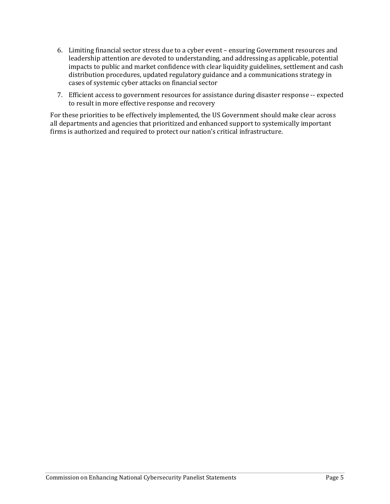- 6. Limiting financial sector stress due to a cyber event ensuring Government resources and leadership attention are devoted to understanding, and addressing as applicable, potential impacts to public and market confidence with clear liquidity guidelines, settlement and cash distribution procedures, updated regulatory guidance and a communications strategy in cases of systemic cyber attacks on financial sector
- 7. Efficient access to government resources for assistance during disaster response -- expected to result in more effective response and recovery

For these priorities to be effectively implemented, the US Government should make clear across all departments and agencies that prioritized and enhanced support to systemically important firms is authorized and required to protect our nation's critical infrastructure.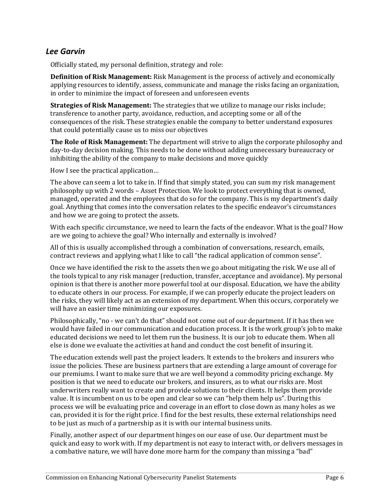#### *Lee Garvin*

Officially stated, my personal definition, strategy and role:

**Definition of Risk Management:** Risk Management is the process of actively and economically applying resources to identify, assess, communicate and manage the risks facing an organization, in order to minimize the impact of foreseen and unforeseen events

**Strategies of Risk Management:** The strategies that we utilize to manage our risks include; transference to another party, avoidance, reduction, and accepting some or all of the consequences of the risk. These strategies enable the company to better understand exposures that could potentially cause us to miss our objectives

**The Role of Risk Management:** The department will strive to align the corporate philosophy and day-to-day decision making. This needs to be done without adding unnecessary bureaucracy or inhibiting the ability of the company to make decisions and move quickly

How I see the practical application…

The above can seem a lot to take in. If find that simply stated, you can sum my risk management philosophy up with 2 words – Asset Protection. We look to protect everything that is owned, managed, operated and the employees that do so for the company. This is my department's daily goal. Anything that comes into the conversation relates to the specific endeavor's circumstances and how we are going to protect the assets.

With each specific circumstance, we need to learn the facts of the endeavor. What is the goal? How are we going to achieve the goal? Who internally and externally is involved?

All of this is usually accomplished through a combination of conversations, research, emails, contract reviews and applying what I like to call "the radical application of common sense".

Once we have identified the risk to the assets then we go about mitigating the risk. We use all of the tools typical to any risk manager (reduction, transfer, acceptance and avoidance). My personal opinion is that there is another more powerful tool at our disposal. Education, we have the ability to educate others in our process. For example, if we can properly educate the project leaders on the risks, they will likely act as an extension of my department. When this occurs, corporately we will have an easier time minimizing our exposures.

Philosophically, "no - we can't do that" should not come out of our department. If it has then we would have failed in our communication and education process. It is the work group's job to make educated decisions we need to let them run the business. It is our job to educate them. When all else is done we evaluate the activities at hand and conduct the cost benefit of insuring it.

The education extends well past the project leaders. It extends to the brokers and insurers who issue the policies. These are business partners that are extending a large amount of coverage for our premiums. I want to make sure that we are well beyond a commodity pricing exchange. My position is that we need to educate our brokers, and insurers, as to what our risks are. Most underwriters really want to create and provide solutions to their clients. It helps them provide value. It is incumbent on us to be open and clear so we can "help them help us". During this process we will be evaluating price and coverage in an effort to close down as many holes as we can, provided it is for the right price. I find for the best results, these external relationships need to be just as much of a partnership as it is with our internal business units.

Finally, another aspect of our department hinges on our ease of use. Our department must be quick and easy to work with. If my department is not easy to interact with, or delivers messages in a combative nature, we will have done more harm for the company than missing a "bad"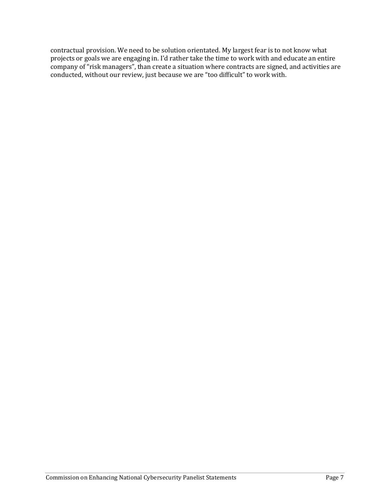contractual provision. We need to be solution orientated. My largest fear is to not know what projects or goals we are engaging in. I'd rather take the time to work with and educate an entire company of "risk managers", than create a situation where contracts are signed, and activities are conducted, without our review, just because we are "too difficult" to work with.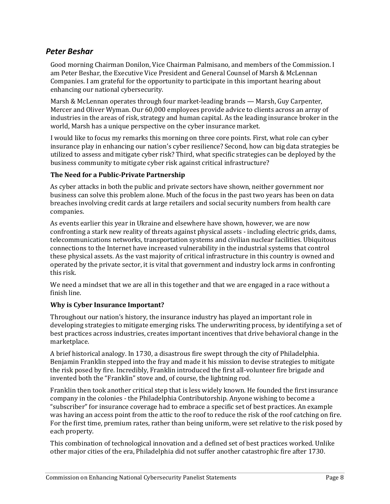#### *Peter Beshar*

Good morning Chairman Donilon, Vice Chairman Palmisano, and members of the Commission. I am Peter Beshar, the Executive Vice President and General Counsel of Marsh & McLennan Companies. I am grateful for the opportunity to participate in this important hearing about enhancing our national cybersecurity.

Marsh & McLennan operates through four market-leading brands — Marsh, Guy Carpenter, Mercer and Oliver Wyman. Our 60,000 employees provide advice to clients across an array of industries in the areas of risk, strategy and human capital. As the leading insurance broker in the world, Marsh has a unique perspective on the cyber insurance market.

I would like to focus my remarks this morning on three core points. First, what role can cyber insurance play in enhancing our nation's cyber resilience? Second, how can big data strategies be utilized to assess and mitigate cyber risk? Third, what specific strategies can be deployed by the business community to mitigate cyber risk against critical infrastructure?

#### **The Need for a Public-Private Partnership**

As cyber attacks in both the public and private sectors have shown, neither government nor business can solve this problem alone. Much of the focus in the past two years has been on data breaches involving credit cards at large retailers and social security numbers from health care companies.

As events earlier this year in Ukraine and elsewhere have shown, however, we are now confronting a stark new reality of threats against physical assets - including electric grids, dams, telecommunications networks, transportation systems and civilian nuclear facilities. Ubiquitous connections to the Internet have increased vulnerability in the industrial systems that control these physical assets. As the vast majority of critical infrastructure in this country is owned and operated by the private sector, it is vital that government and industry lock arms in confronting this risk.

We need a mindset that we are all in this together and that we are engaged in a race without a finish line.

#### **Why is Cyber Insurance Important?**

Throughout our nation's history, the insurance industry has played an important role in developing strategies to mitigate emerging risks. The underwriting process, by identifying a set of best practices across industries, creates important incentives that drive behavioral change in the marketplace.

A brief historical analogy. In 1730, a disastrous fire swept through the city of Philadelphia. Benjamin Franklin stepped into the fray and made it his mission to devise strategies to mitigate the risk posed by fire. Incredibly, Franklin introduced the first all-volunteer fire brigade and invented both the "Franklin" stove and, of course, the lightning rod.

Franklin then took another critical step that is less widely known. He founded the first insurance company in the colonies - the Philadelphia Contributorship. Anyone wishing to become a "subscriber" for insurance coverage had to embrace a specific set of best practices. An example was having an access point from the attic to the roof to reduce the risk of the roof catching on fire. For the first time, premium rates, rather than being uniform, were set relative to the risk posed by each property.

This combination of technological innovation and a defined set of best practices worked. Unlike other major cities of the era, Philadelphia did not suffer another catastrophic fire after 1730.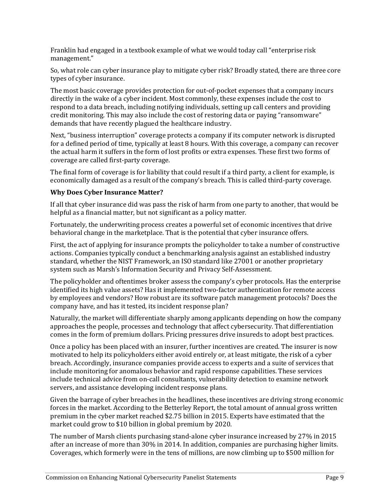Franklin had engaged in a textbook example of what we would today call "enterprise risk management."

So, what role can cyber insurance play to mitigate cyber risk? Broadly stated, there are three core types of cyber insurance.

The most basic coverage provides protection for out-of-pocket expenses that a company incurs directly in the wake of a cyber incident. Most commonly, these expenses include the cost to respond to a data breach, including notifying individuals, setting up call centers and providing credit monitoring. This may also include the cost of restoring data or paying "ransomware" demands that have recently plagued the healthcare industry.

Next, "business interruption" coverage protects a company if its computer network is disrupted for a defined period of time, typically at least 8 hours. With this coverage, a company can recover the actual harm it suffers in the form of lost profits or extra expenses. These first two forms of coverage are called first-party coverage.

The final form of coverage is for liability that could result if a third party, a client for example, is economically damaged as a result of the company's breach. This is called third-party coverage.

#### **Why Does Cyber Insurance Matter?**

If all that cyber insurance did was pass the risk of harm from one party to another, that would be helpful as a financial matter, but not significant as a policy matter.

Fortunately, the underwriting process creates a powerful set of economic incentives that drive behavioral change in the marketplace. That is the potential that cyber insurance offers.

First, the act of applying for insurance prompts the policyholder to take a number of constructive actions. Companies typically conduct a benchmarking analysis against an established industry standard, whether the NIST Framework, an ISO standard like 27001 or another proprietary system such as Marsh's Information Security and Privacy Self-Assessment.

The policyholder and oftentimes broker assess the company's cyber protocols. Has the enterprise identified its high value assets? Has it implemented two-factor authentication for remote access by employees and vendors? How robust are its software patch management protocols? Does the company have, and has it tested, its incident response plan?

Naturally, the market will differentiate sharply among applicants depending on how the company approaches the people, processes and technology that affect cybersecurity. That differentiation comes in the form of premium dollars. Pricing pressures drive insureds to adopt best practices.

Once a policy has been placed with an insurer, further incentives are created. The insurer is now motivated to help its policyholders either avoid entirely or, at least mitigate, the risk of a cyber breach. Accordingly, insurance companies provide access to experts and a suite of services that include monitoring for anomalous behavior and rapid response capabilities. These services include technical advice from on-call consultants, vulnerability detection to examine network servers, and assistance developing incident response plans.

Given the barrage of cyber breaches in the headlines, these incentives are driving strong economic forces in the market. According to the Betterley Report, the total amount of annual gross written premium in the cyber market reached \$2.75 billion in 2015. Experts have estimated that the market could grow to \$10 billion in global premium by 2020.

The number of Marsh clients purchasing stand-alone cyber insurance increased by 27% in 2015 after an increase of more than 30% in 2014. In addition, companies are purchasing higher limits. Coverages, which formerly were in the tens of millions, are now climbing up to \$500 million for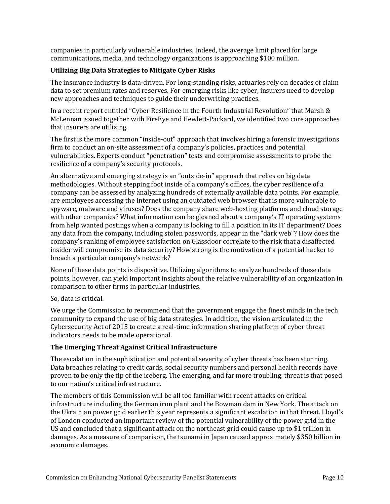companies in particularly vulnerable industries. Indeed, the average limit placed for large communications, media, and technology organizations is approaching \$100 million.

#### **Utilizing Big Data Strategies to Mitigate Cyber Risks**

The insurance industry is data-driven. For long-standing risks, actuaries rely on decades of claim data to set premium rates and reserves. For emerging risks like cyber, insurers need to develop new approaches and techniques to guide their underwriting practices.

In a recent report entitled "Cyber Resilience in the Fourth Industrial Revolution" that Marsh & McLennan issued together with FireEye and Hewlett-Packard, we identified two core approaches that insurers are utilizing.

The first is the more common "inside-out" approach that involves hiring a forensic investigations firm to conduct an on-site assessment of a company's policies, practices and potential vulnerabilities. Experts conduct "penetration" tests and compromise assessments to probe the resilience of a company's security protocols.

An alternative and emerging strategy is an "outside-in" approach that relies on big data methodologies. Without stepping foot inside of a company's offices, the cyber resilience of a company can be assessed by analyzing hundreds of externally available data points. For example, are employees accessing the Internet using an outdated web browser that is more vulnerable to spyware, malware and viruses? Does the company share web-hosting platforms and cloud storage with other companies? What information can be gleaned about a company's IT operating systems from help wanted postings when a company is looking to fill a position in its IT department? Does any data from the company, including stolen passwords, appear in the "dark web"? How does the company's ranking of employee satisfaction on Glassdoor correlate to the risk that a disaffected insider will compromise its data security? How strong is the motivation of a potential hacker to breach a particular company's network?

None of these data points is dispositive. Utilizing algorithms to analyze hundreds of these data points, however, can yield important insights about the relative vulnerability of an organization in comparison to other firms in particular industries.

So, data is critical.

We urge the Commission to recommend that the government engage the finest minds in the tech community to expand the use of big data strategies. In addition, the vision articulated in the Cybersecurity Act of 2015 to create a real-time information sharing platform of cyber threat indicators needs to be made operational.

#### **The Emerging Threat Against Critical Infrastructure**

The escalation in the sophistication and potential severity of cyber threats has been stunning. Data breaches relating to credit cards, social security numbers and personal health records have proven to be only the tip of the iceberg. The emerging, and far more troubling, threat is that posed to our nation's critical infrastructure.

The members of this Commission will be all too familiar with recent attacks on critical infrastructure including the German iron plant and the Bowman dam in New York. The attack on the Ukrainian power grid earlier this year represents a significant escalation in that threat. Lloyd's of London conducted an important review of the potential vulnerability of the power grid in the US and concluded that a significant attack on the northeast grid could cause up to \$1 trillion in damages. As a measure of comparison, the tsunami in Japan caused approximately \$350 billion in economic damages.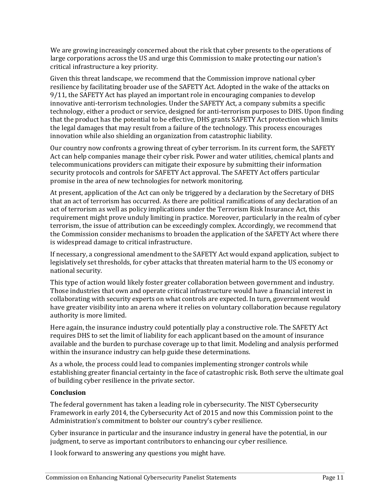We are growing increasingly concerned about the risk that cyber presents to the operations of large corporations across the US and urge this Commission to make protecting our nation's critical infrastructure a key priority.

Given this threat landscape, we recommend that the Commission improve national cyber resilience by facilitating broader use of the SAFETY Act. Adopted in the wake of the attacks on 9/11, the SAFETY Act has played an important role in encouraging companies to develop innovative anti-terrorism technologies. Under the SAFETY Act, a company submits a specific technology, either a product or service, designed for anti-terrorism purposes to DHS. Upon finding that the product has the potential to be effective, DHS grants SAFETY Act protection which limits the legal damages that may result from a failure of the technology. This process encourages innovation while also shielding an organization from catastrophic liability.

Our country now confronts a growing threat of cyber terrorism. In its current form, the SAFETY Act can help companies manage their cyber risk. Power and water utilities, chemical plants and telecommunications providers can mitigate their exposure by submitting their information security protocols and controls for SAFETY Act approval. The SAFETY Act offers particular promise in the area of new technologies for network monitoring.

At present, application of the Act can only be triggered by a declaration by the Secretary of DHS that an act of terrorism has occurred. As there are political ramifications of any declaration of an act of terrorism as well as policy implications under the Terrorism Risk Insurance Act, this requirement might prove unduly limiting in practice. Moreover, particularly in the realm of cyber terrorism, the issue of attribution can be exceedingly complex. Accordingly, we recommend that the Commission consider mechanisms to broaden the application of the SAFETY Act where there is widespread damage to critical infrastructure.

If necessary, a congressional amendment to the SAFETY Act would expand application, subject to legislatively set thresholds, for cyber attacks that threaten material harm to the US economy or national security.

This type of action would likely foster greater collaboration between government and industry. Those industries that own and operate critical infrastructure would have a financial interest in collaborating with security experts on what controls are expected. In turn, government would have greater visibility into an arena where it relies on voluntary collaboration because regulatory authority is more limited.

Here again, the insurance industry could potentially play a constructive role. The SAFETY Act requires DHS to set the limit of liability for each applicant based on the amount of insurance available and the burden to purchase coverage up to that limit. Modeling and analysis performed within the insurance industry can help guide these determinations.

As a whole, the process could lead to companies implementing stronger controls while establishing greater financial certainty in the face of catastrophic risk. Both serve the ultimate goal of building cyber resilience in the private sector.

#### **Conclusion**

The federal government has taken a leading role in cybersecurity. The NIST Cybersecurity Framework in early 2014, the Cybersecurity Act of 2015 and now this Commission point to the Administration's commitment to bolster our country's cyber resilience.

Cyber insurance in particular and the insurance industry in general have the potential, in our judgment, to serve as important contributors to enhancing our cyber resilience.

I look forward to answering any questions you might have.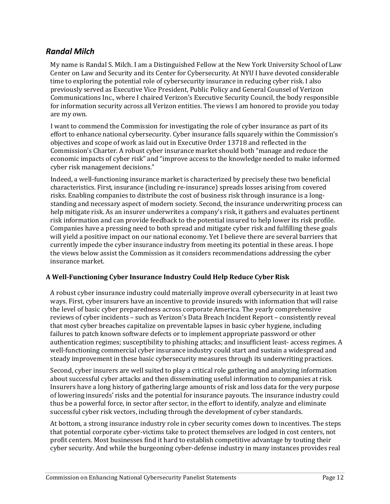#### *Randal Milch*

My name is Randal S. Milch. I am a Distinguished Fellow at the New York University School of Law Center on Law and Security and its Center for Cybersecurity. At NYU I have devoted considerable time to exploring the potential role of cybersecurity insurance in reducing cyber risk. I also previously served as Executive Vice President, Public Policy and General Counsel of Verizon Communications Inc., where I chaired Verizon's Executive Security Council, the body responsible for information security across all Verizon entities. The views I am honored to provide you today are my own.

I want to commend the Commission for investigating the role of cyber insurance as part of its effort to enhance national cybersecurity. Cyber insurance falls squarely within the Commission's objectives and scope of work as laid out in Executive Order 13718 and reflected in the Commission's Charter. A robust cyber insurance market should both "manage and reduce the economic impacts of cyber risk" and "improve access to the knowledge needed to make informed cyber risk management decisions."

Indeed, a well-functioning insurance market is characterized by precisely these two beneficial characteristics. First, insurance (including re-insurance) spreads losses arising from covered risks. Enabling companies to distribute the cost of business risk through insurance is a longstanding and necessary aspect of modern society. Second, the insurance underwriting process can help mitigate risk. As an insurer underwrites a company's risk, it gathers and evaluates pertinent risk information and can provide feedback to the potential insured to help lower its risk profile. Companies have a pressing need to both spread and mitigate cyber risk and fulfilling these goals will yield a positive impact on our national economy. Yet I believe there are several barriers that currently impede the cyber insurance industry from meeting its potential in these areas. I hope the views below assist the Commission as it considers recommendations addressing the cyber insurance market.

#### **A Well-Functioning Cyber Insurance Industry Could Help Reduce Cyber Risk**

A robust cyber insurance industry could materially improve overall cybersecurity in at least two ways. First, cyber insurers have an incentive to provide insureds with information that will raise the level of basic cyber preparedness across corporate America. The yearly comprehensive reviews of cyber incidents – such as Verizon's Data Breach Incident Report – consistently reveal that most cyber breaches capitalize on preventable lapses in basic cyber hygiene, including failures to patch known software defects or to implement appropriate password or other authentication regimes; susceptibility to phishing attacks; and insufficient least- access regimes. A well-functioning commercial cyber insurance industry could start and sustain a widespread and steady improvement in these basic cybersecurity measures through its underwriting practices.

Second, cyber insurers are well suited to play a critical role gathering and analyzing information about successful cyber attacks and then disseminating useful information to companies at risk. Insurers have a long history of gathering large amounts of risk and loss data for the very purpose of lowering insureds' risks and the potential for insurance payouts. The insurance industry could thus be a powerful force, in sector after sector, in the effort to identify, analyze and eliminate successful cyber risk vectors, including through the development of cyber standards.

At bottom, a strong insurance industry role in cyber security comes down to incentives. The steps that potential corporate cyber-victims take to protect themselves are lodged in cost centers, not profit centers. Most businesses find it hard to establish competitive advantage by touting their cyber security. And while the burgeoning cyber-defense industry in many instances provides real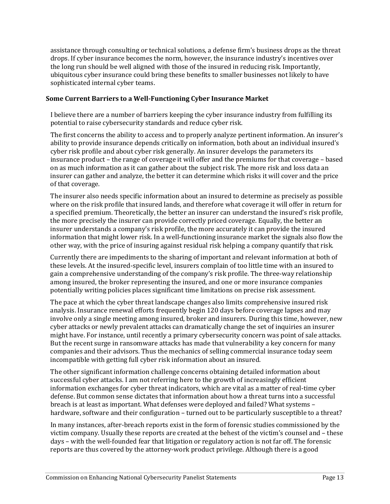assistance through consulting or technical solutions, a defense firm's business drops as the threat drops. If cyber insurance becomes the norm, however, the insurance industry's incentives over the long run should be well aligned with those of the insured in reducing risk. Importantly, ubiquitous cyber insurance could bring these benefits to smaller businesses not likely to have sophisticated internal cyber teams.

#### **Some Current Barriers to a Well-Functioning Cyber Insurance Market**

I believe there are a number of barriers keeping the cyber insurance industry from fulfilling its potential to raise cybersecurity standards and reduce cyber risk.

The first concerns the ability to access and to properly analyze pertinent information. An insurer's ability to provide insurance depends critically on information, both about an individual insured's cyber risk profile and about cyber risk generally. An insurer develops the parameters its insurance product – the range of coverage it will offer and the premiums for that coverage – based on as much information as it can gather about the subject risk. The more risk and loss data an insurer can gather and analyze, the better it can determine which risks it will cover and the price of that coverage.

The insurer also needs specific information about an insured to determine as precisely as possible where on the risk profile that insured lands, and therefore what coverage it will offer in return for a specified premium. Theoretically, the better an insurer can understand the insured's risk profile, the more precisely the insurer can provide correctly priced coverage. Equally, the better an insurer understands a company's risk profile, the more accurately it can provide the insured information that might lower risk. In a well-functioning insurance market the signals also flow the other way, with the price of insuring against residual risk helping a company quantify that risk.

Currently there are impediments to the sharing of important and relevant information at both of these levels. At the insured-specific level, insurers complain of too little time with an insured to gain a comprehensive understanding of the company's risk profile. The three-way relationship among insured, the broker representing the insured, and one or more insurance companies potentially writing policies places significant time limitations on precise risk assessment.

The pace at which the cyber threat landscape changes also limits comprehensive insured risk analysis. Insurance renewal efforts frequently begin 120 days before coverage lapses and may involve only a single meeting among insured, broker and insurers. During this time, however, new cyber attacks or newly prevalent attacks can dramatically change the set of inquiries an insurer might have. For instance, until recently a primary cybersecurity concern was point of sale attacks. But the recent surge in ransomware attacks has made that vulnerability a key concern for many companies and their advisors. Thus the mechanics of selling commercial insurance today seem incompatible with getting full cyber risk information about an insured.

The other significant information challenge concerns obtaining detailed information about successful cyber attacks. I am not referring here to the growth of increasingly efficient information exchanges for cyber threat indicators, which are vital as a matter of real-time cyber defense. But common sense dictates that information about how a threat turns into a successful breach is at least as important. What defenses were deployed and failed? What systems – hardware, software and their configuration – turned out to be particularly susceptible to a threat?

In many instances, after-breach reports exist in the form of forensic studies commissioned by the victim company. Usually these reports are created at the behest of the victim's counsel and – these days – with the well-founded fear that litigation or regulatory action is not far off. The forensic reports are thus covered by the attorney-work product privilege. Although there is a good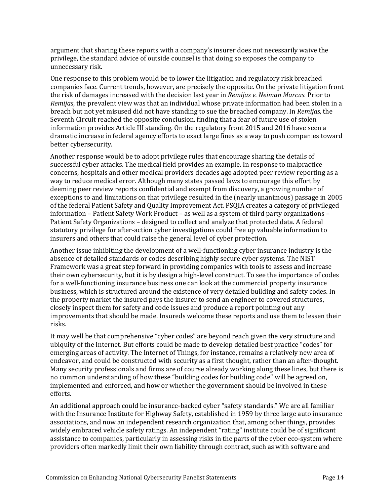argument that sharing these reports with a company's insurer does not necessarily waive the privilege, the standard advice of outside counsel is that doing so exposes the company to unnecessary risk.

One response to this problem would be to lower the litigation and regulatory risk breached companies face. Current trends, however, are precisely the opposite. On the private litigation front the risk of damages increased with the decision last year in *Remijas v. Neiman Marcus.* Prior to *Remijas*, the prevalent view was that an individual whose private information had been stolen in a breach but not yet misused did not have standing to sue the breached company. In *Remijas,* the Seventh Circuit reached the opposite conclusion, finding that a fear of future use of stolen information provides Article III standing. On the regulatory front 2015 and 2016 have seen a dramatic increase in federal agency efforts to exact large fines as a way to push companies toward better cybersecurity.

Another response would be to adopt privilege rules that encourage sharing the details of successful cyber attacks. The medical field provides an example. In response to malpractice concerns, hospitals and other medical providers decades ago adopted peer review reporting as a way to reduce medical error. Although many states passed laws to encourage this effort by deeming peer review reports confidential and exempt from discovery, a growing number of exceptions to and limitations on that privilege resulted in the (nearly unanimous) passage in 2005 of the federal Patient Safety and Quality Improvement Act. PSQIA creates a category of privileged information – Patient Safety Work Product – as well as a system of third party organizations – Patient Safety Organizations – designed to collect and analyze that protected data. A federal statutory privilege for after-action cyber investigations could free up valuable information to insurers and others that could raise the general level of cyber protection.

Another issue inhibiting the development of a well-functioning cyber insurance industry is the absence of detailed standards or codes describing highly secure cyber systems. The NIST Framework was a great step forward in providing companies with tools to assess and increase their own cybersecurity, but it is by design a high-level construct. To see the importance of codes for a well-functioning insurance business one can look at the commercial property insurance business, which is structured around the existence of very detailed building and safety codes. In the property market the insured pays the insurer to send an engineer to covered structures, closely inspect them for safety and code issues and produce a report pointing out any improvements that should be made. Insureds welcome these reports and use them to lessen their risks.

It may well be that comprehensive "cyber codes" are beyond reach given the very structure and ubiquity of the Internet. But efforts could be made to develop detailed best practice "codes" for emerging areas of activity. The Internet of Things, for instance, remains a relatively new area of endeavor, and could be constructed with security as a first thought, rather than an after-thought. Many security professionals and firms are of course already working along these lines, but there is no common understanding of how these "building codes for building code" will be agreed on, implemented and enforced, and how or whether the government should be involved in these efforts.

An additional approach could be insurance-backed cyber "safety standards." We are all familiar with the Insurance Institute for Highway Safety, established in 1959 by three large auto insurance associations, and now an independent research organization that, among other things, provides widely embraced vehicle safety ratings. An independent "rating" institute could be of significant assistance to companies, particularly in assessing risks in the parts of the cyber eco-system where providers often markedly limit their own liability through contract, such as with software and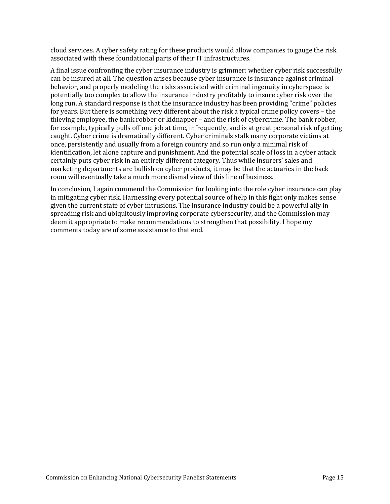cloud services. A cyber safety rating for these products would allow companies to gauge the risk associated with these foundational parts of their IT infrastructures.

A final issue confronting the cyber insurance industry is grimmer: whether cyber risk successfully can be insured at all. The question arises because cyber insurance is insurance against criminal behavior, and properly modeling the risks associated with criminal ingenuity in cyberspace is potentially too complex to allow the insurance industry profitably to insure cyber risk over the long run. A standard response is that the insurance industry has been providing "crime" policies for years. But there is something very different about the risk a typical crime policy covers – the thieving employee, the bank robber or kidnapper – and the risk of cybercrime. The bank robber, for example, typically pulls off one job at time, infrequently, and is at great personal risk of getting caught. Cyber crime is dramatically different. Cyber criminals stalk many corporate victims at once, persistently and usually from a foreign country and so run only a minimal risk of identification, let alone capture and punishment. And the potential scale of loss in a cyber attack certainly puts cyber risk in an entirely different category. Thus while insurers' sales and marketing departments are bullish on cyber products, it may be that the actuaries in the back room will eventually take a much more dismal view of this line of business.

In conclusion, I again commend the Commission for looking into the role cyber insurance can play in mitigating cyber risk. Harnessing every potential source of help in this fight only makes sense given the current state of cyber intrusions. The insurance industry could be a powerful ally in spreading risk and ubiquitously improving corporate cybersecurity, and the Commission may deem it appropriate to make recommendations to strengthen that possibility. I hope my comments today are of some assistance to that end.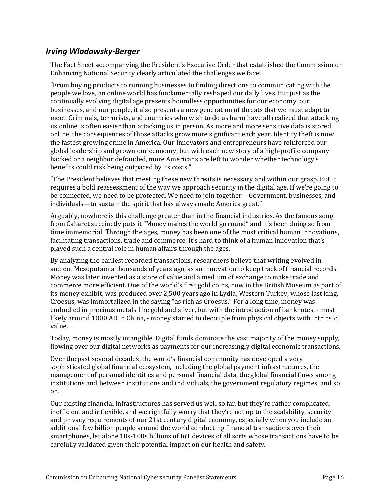#### *Irving Wladawsky-Berger*

The Fact Sheet accompanying the President's Executive Order that established the Commission on Enhancing National Security clearly articulated the challenges we face:

"From buying products to running businesses to finding directions to communicating with the people we love, an online world has fundamentally reshaped our daily lives. But just as the continually evolving digital age presents boundless opportunities for our economy, our businesses, and our people, it also presents a new generation of threats that we must adapt to meet. Criminals, terrorists, and countries who wish to do us harm have all realized that attacking us online is often easier than attacking us in person. As more and more sensitive data is stored online, the consequences of those attacks grow more significant each year. Identity theft is now the fastest growing crime in America. Our innovators and entrepreneurs have reinforced our global leadership and grown our economy, but with each new story of a high-profile company hacked or a neighbor defrauded, more Americans are left to wonder whether technology's benefits could risk being outpaced by its costs."

"The President believes that meeting these new threats is necessary and within our grasp. But it requires a bold reassessment of the way we approach security in the digital age. If we're going to be connected, we need to be protected. We need to join together—Government, businesses, and individuals—to sustain the spirit that has always made America great."

Arguably, nowhere is this challenge greater than in the financial industries. As the famous song from Cabaret succinctly puts it "Money makes the world go round" and it's been doing so from time immemorial. Through the ages, money has been one of the most critical human innovations, facilitating transactions, trade and commerce. It's hard to think of a human innovation that's played such a central role in human affairs through the ages.

By analyzing the earliest recorded transactions, researchers believe that writing evolved in ancient Mesopotamia thousands of years ago, as an innovation to keep track of financial records. Money was later invented as a store of value and a medium of exchange to make trade and commerce more efficient. One of the world's first gold coins, now in the British Museum as part of its money exhibit, was produced over 2,500 years ago in Lydia, Western Turkey, whose last king, Croesus, was immortalized in the saying "as rich as Croesus." For a long time, money was embodied in precious metals like gold and silver, but with the introduction of banknotes, - most likely around 1000 AD in China, - money started to decouple from physical objects with intrinsic value.

Today, money is mostly intangible. Digital funds dominate the vast majority of the money supply, flowing over our digital networks as payments for our increasingly digital economic transactions.

Over the past several decades, the world's financial community has developed a very sophisticated global financial ecosystem, including the global payment infrastructures, the management of personal identities and personal financial data, the global financial flows among institutions and between institutions and individuals, the government regulatory regimes, and so on.

Our existing financial infrastructures has served us well so far, but they're rather complicated, inefficient and inflexible, and we rightfully worry that they're not up to the scalability, security and privacy requirements of our 21st century digital economy, especially when you include an additional few billion people around the world conducting financial transactions over their smartphones, let alone 10s-100s billions of IoT devices of all sorts whose transactions have to be carefully validated given their potential impact on our health and safety.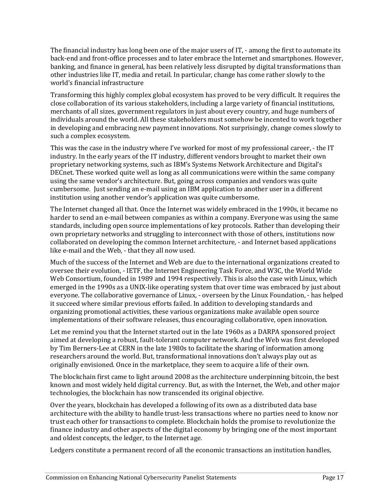The financial industry has long been one of the major users of IT, - among the first to automate its back-end and front-office processes and to later embrace the Internet and smartphones. However, banking, and finance in general, has been relatively less disrupted by digital transformations than other industries like IT, media and retail. In particular, change has come rather slowly to the world's financial infrastructure

Transforming this highly complex global ecosystem has proved to be very difficult. It requires the close collaboration of its various stakeholders, including a large variety of financial institutions, merchants of all sizes, government regulators in just about every country, and huge numbers of individuals around the world. All these stakeholders must somehow be incented to work together in developing and embracing new payment innovations. Not surprisingly, change comes slowly to such a complex ecosystem.

This was the case in the industry where I've worked for most of my professional career, - the IT industry. In the early years of the IT industry, different vendors brought to market their own proprietary networking systems, such as IBM's Systems Network Architecture and Digital's DECnet. These worked quite well as long as all communications were within the same company using the same vendor's architecture. But, going across companies and vendors was quite cumbersome. Just sending an e-mail using an IBM application to another user in a different institution using another vendor's application was quite cumbersome.

The Internet changed all that. Once the Internet was widely embraced in the 1990s, it became no harder to send an e-mail between companies as within a company. Everyone was using the same standards, including open source implementations of key protocols. Rather than developing their own proprietary networks and struggling to interconnect with those of others, institutions now collaborated on developing the common Internet architecture, - and Internet based applications like e-mail and the Web, - that they all now used.

Much of the success of the Internet and Web are due to the international organizations created to oversee their evolution, - IETF, the Internet Engineering Task Force, and W3C, the World Wide Web Consortium, founded in 1989 and 1994 respectively. This is also the case with Linux, which emerged in the 1990s as a UNIX-like operating system that over time was embraced by just about everyone. The collaborative governance of Linux, - overseen by the Linux Foundation, - has helped it succeed where similar previous efforts failed. In addition to developing standards and organizing promotional activities, these various organizations make available open source implementations of their software releases, thus encouraging collaborative, open innovation.

Let me remind you that the Internet started out in the late 1960s as a DARPA sponsored project aimed at developing a robust, fault-tolerant computer network. And the Web was first developed by Tim Berners-Lee at CERN in the late 1980s to facilitate the sharing of information among researchers around the world. But, transformational innovations don't always play out as originally envisioned. Once in the marketplace, they seem to acquire a life of their own.

The blockchain first came to light around 2008 as the architecture underpinning bitcoin, the best known and most widely held digital currency. But, as with the Internet, the Web, and other major technologies, the blockchain has now transcended its original objective.

Over the years, blockchain has developed a following of its own as a distributed data base architecture with the ability to handle trust-less transactions where no parties need to know nor trust each other for transactions to complete. Blockchain holds the promise to revolutionize the finance industry and other aspects of the digital economy by bringing one of the most important and oldest concepts, the ledger, to the Internet age.

Ledgers constitute a permanent record of all the economic transactions an institution handles,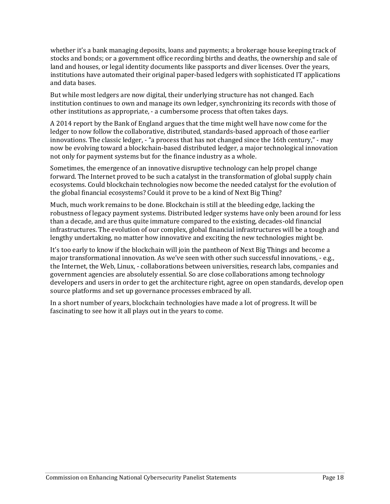whether it's a bank managing deposits, loans and payments; a brokerage house keeping track of stocks and bonds; or a government office recording births and deaths, the ownership and sale of land and houses, or legal identity documents like passports and diver licenses. Over the years, institutions have automated their original paper-based ledgers with sophisticated IT applications and data bases.

But while most ledgers are now digital, their underlying structure has not changed. Each institution continues to own and manage its own ledger, synchronizing its records with those of other institutions as appropriate, - a cumbersome process that often takes days.

A 2014 report by the Bank of England argues that the time might well have now come for the ledger to now follow the collaborative, distributed, standards-based approach of those earlier innovations. The classic ledger, - "a process that has not changed since the 16th century," - may now be evolving toward a blockchain-based distributed ledger, a major technological innovation not only for payment systems but for the finance industry as a whole.

Sometimes, the emergence of an innovative disruptive technology can help propel change forward. The Internet proved to be such a catalyst in the transformation of global supply chain ecosystems. Could blockchain technologies now become the needed catalyst for the evolution of the global financial ecosystems? Could it prove to be a kind of Next Big Thing?

Much, much work remains to be done. Blockchain is still at the bleeding edge, lacking the robustness of legacy payment systems. Distributed ledger systems have only been around for less than a decade, and are thus quite immature compared to the existing, decades-old financial infrastructures. The evolution of our complex, global financial infrastructures will be a tough and lengthy undertaking, no matter how innovative and exciting the new technologies might be.

It's too early to know if the blockchain will join the pantheon of Next Big Things and become a major transformational innovation. As we've seen with other such successful innovations, - e.g., the Internet, the Web, Linux, - collaborations between universities, research labs, companies and government agencies are absolutely essential. So are close collaborations among technology developers and users in order to get the architecture right, agree on open standards, develop open source platforms and set up governance processes embraced by all.

In a short number of years, blockchain technologies have made a lot of progress. It will be fascinating to see how it all plays out in the years to come.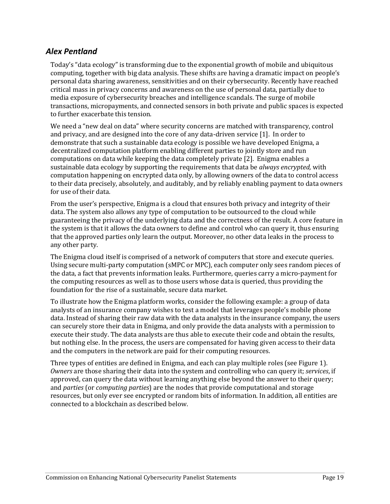#### *Alex Pentland*

Today's "data ecology" is transforming due to the exponential growth of mobile and ubiquitous computing, together with big data analysis. These shifts are having a dramatic impact on people's personal data sharing awareness, sensitivities and on their cybersecurity. Recently have reached critical mass in privacy concerns and awareness on the use of personal data, partially due to media exposure of cybersecurity breaches and intelligence scandals. The surge of mobile transactions, micropayments, and connected sensors in both private and public spaces is expected to further exacerbate this tension.

We need a "new deal on data" where security concerns are matched with transparency, control and privacy, and are designed into the core of any data-driven service [1]. In order to demonstrate that such a sustainable data ecology is possible we have developed Enigma, a decentralized computation platform enabling different parties to jointly store and run computations on data while keeping the data completely private [2]. Enigma enables a sustainable data ecology by supporting the requirements that data be *always encrypted,* with computation happening on encrypted data only, by allowing owners of the data to control access to their data precisely, absolutely, and auditably, and by reliably enabling payment to data owners for use of their data.

From the user's perspective, Enigma is a cloud that ensures both privacy and integrity of their data. The system also allows any type of computation to be outsourced to the cloud while guaranteeing the privacy of the underlying data and the correctness of the result. A core feature in the system is that it allows the data owners to define and control who can query it, thus ensuring that the approved parties only learn the output. Moreover, no other data leaks in the process to any other party.

The Enigma cloud itself is comprised of a network of computers that store and execute queries. Using secure multi-party computation (sMPC or MPC), each computer only sees random pieces of the data, a fact that prevents information leaks. Furthermore, queries carry a micro-payment for the computing resources as well as to those users whose data is queried, thus providing the foundation for the rise of a sustainable, secure data market.

To illustrate how the Enigma platform works, consider the following example: a group of data analysts of an insurance company wishes to test a model that leverages people's mobile phone data. Instead of sharing their raw data with the data analysts in the insurance company, the users can securely store their data in Enigma, and only provide the data analysts with a permission to execute their study. The data analysts are thus able to execute their code and obtain the results, but nothing else. In the process, the users are compensated for having given access to their data and the computers in the network are paid for their computing resources.

Three types of entities are defined in Enigma, and each can play multiple roles (see Figure 1). *Owners* are those sharing their data into the system and controlling who can query it; *services*, if approved, can query the data without learning anything else beyond the answer to their query; and *parties* (or *computing parties*) are the nodes that provide computational and storage resources, but only ever see encrypted or random bits of information. In addition, all entities are connected to a blockchain as described below.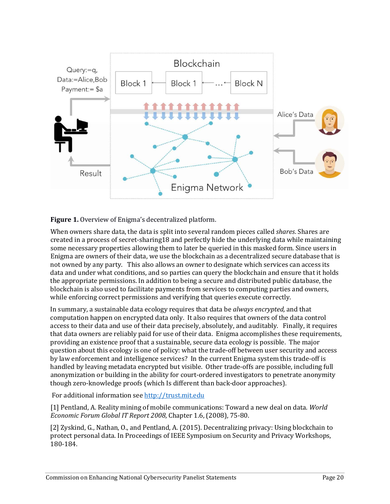

**Figure 1.** Overview of Enigma's decentralized platform.

When owners share data, the data is split into several random pieces called *shares*. Shares are created in a process of secret-sharing18 and perfectly hide the underlying data while maintaining some necessary properties allowing them to later be queried in this masked form. Since users in Enigma are owners of their data, we use the blockchain as a decentralized secure database that is not owned by any party. This also allows an owner to designate which services can access its data and under what conditions, and so parties can query the blockchain and ensure that it holds the appropriate permissions. In addition to being a secure and distributed public database, the blockchain is also used to facilitate payments from services to computing parties and owners, while enforcing correct permissions and verifying that queries execute correctly.

In summary, a sustainable data ecology requires that data be *always encrypted,* and that computation happen on encrypted data only. It also requires that owners of the data control access to their data and use of their data precisely, absolutely, and auditably. Finally, it requires that data owners are reliably paid for use of their data. Enigma accomplishes these requirements, providing an existence proof that a sustainable, secure data ecology is possible. The major question about this ecology is one of policy: what the trade-off between user security and access by law enforcement and intelligence services? In the current Enigma system this trade-off is handled by leaving metadata encrypted but visible. Other trade-offs are possible, including full anonymization or building in the ability for court-ordered investigators to penetrate anonymity though zero-knowledge proofs (which Is different than back-door approaches).

For additional information see [http://trust.mit.edu](http://trust.mit.edu/)

[1] Pentland, A. Reality mining of mobile communications: Toward a new deal on data. *World Economic Forum Global IT Report 2008*, Chapter 1.6, (2008), 75-80.

[2] Zyskind, G., Nathan, O., and Pentland, A. (2015). Decentralizing privacy: Using blockchain to protect personal data. In Proceedings of IEEE Symposium on Security and Privacy Workshops, 180-184.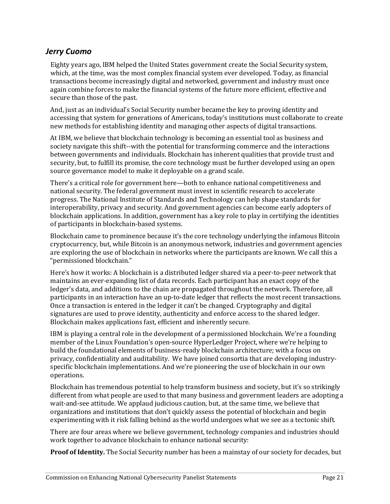#### *Jerry Cuomo*

Eighty years ago, IBM helped the United States government create the Social Security system, which, at the time, was the most complex financial system ever developed. Today, as financial transactions become increasingly digital and networked, government and industry must once again combine forces to make the financial systems of the future more efficient, effective and secure than those of the past.

And, just as an individual's Social Security number became the key to proving identity and accessing that system for generations of Americans, today's institutions must collaborate to create new methods for establishing identity and managing other aspects of digital transactions.

At IBM, we believe that blockchain technology is becoming an essential tool as business and society navigate this shift--with the potential for transforming commerce and the interactions between governments and individuals. Blockchain has inherent qualities that provide trust and security, but, to fulfill its promise, the core technology must be further developed using an open source governance model to make it deployable on a grand scale.

There's a critical role for government here—both to enhance national competitiveness and national security. The federal government must invest in scientific research to accelerate progress. The National Institute of Standards and Technology can help shape standards for interoperability, privacy and security. And government agencies can become early adopters of blockchain applications. In addition, government has a key role to play in certifying the identities of participants in blockchain-based systems.

Blockchain came to prominence because it's the core technology underlying the infamous Bitcoin cryptocurrency, but, while Bitcoin is an anonymous network, industries and government agencies are exploring the use of blockchain in networks where the participants are known. We call this a "permissioned blockchain."

Here's how it works: A blockchain is a distributed ledger shared via a peer-to-peer network that maintains an ever-expanding list of data records. Each participant has an exact copy of the ledger's data, and additions to the chain are propagated throughout the network. Therefore, all participants in an interaction have an up-to-date ledger that reflects the most recent transactions. Once a transaction is entered in the ledger it can't be changed. Cryptography and digital signatures are used to prove identity, authenticity and enforce access to the shared ledger. Blockchain makes applications fast, efficient and inherently secure.

IBM is playing a central role in the development of a permissioned blockchain. We're a founding member of the Linux Foundation's open-source HyperLedger Project, where we're helping to build the foundational elements of business-ready blockchain architecture; with a focus on privacy, confidentiality and auditability. We have joined consortia that are developing industryspecific blockchain implementations. And we're pioneering the use of blockchain in our own operations.

Blockchain has tremendous potential to help transform business and society, but it's so strikingly different from what people are used to that many business and government leaders are adopting a wait-and-see attitude. We applaud judicious caution, but, at the same time, we believe that organizations and institutions that don't quickly assess the potential of blockchain and begin experimenting with it risk falling behind as the world undergoes what we see as a tectonic shift.

There are four areas where we believe government, technology companies and industries should work together to advance blockchain to enhance national security:

**Proof of Identity.** The Social Security number has been a mainstay of our society for decades, but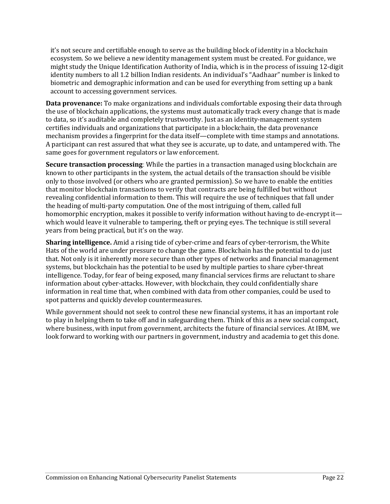it's not secure and certifiable enough to serve as the building block of identity in a blockchain ecosystem. So we believe a new identity management system must be created. For guidance, we might study the Unique Identification Authority of India, which is in the process of issuing 12-digit identity numbers to all 1.2 billion Indian residents. An individual's "Aadhaar" number is linked to biometric and demographic information and can be used for everything from setting up a bank account to accessing government services.

**Data provenance:** To make organizations and individuals comfortable exposing their data through the use of blockchain applications, the systems must automatically track every change that is made to data, so it's auditable and completely trustworthy. Just as an identity-management system certifies individuals and organizations that participate in a blockchain, the data provenance mechanism provides a fingerprint for the data itself—complete with time stamps and annotations. A participant can rest assured that what they see is accurate, up to date, and untampered with. The same goes for government regulators or law enforcement.

**Secure transaction processing**: While the parties in a transaction managed using blockchain are known to other participants in the system, the actual details of the transaction should be visible only to those involved (or others who are granted permission). So we have to enable the entities that monitor blockchain transactions to verify that contracts are being fulfilled but without revealing confidential information to them. This will require the use of techniques that fall under the heading of multi-party computation. One of the most intriguing of them, called full homomorphic encryption, makes it possible to verify information without having to de-encrypt it which would leave it vulnerable to tampering, theft or prying eyes. The technique is still several years from being practical, but it's on the way.

**Sharing intelligence.** Amid a rising tide of cyber-crime and fears of cyber-terrorism, the White Hats of the world are under pressure to change the game. Blockchain has the potential to do just that. Not only is it inherently more secure than other types of networks and financial management systems, but blockchain has the potential to be used by multiple parties to share cyber-threat intelligence. Today, for fear of being exposed, many financial services firms are reluctant to share information about cyber-attacks. However, with blockchain, they could confidentially share information in real time that, when combined with data from other companies, could be used to spot patterns and quickly develop countermeasures.

While government should not seek to control these new financial systems, it has an important role to play in helping them to take off and in safeguarding them. Think of this as a new social compact, where business, with input from government, architects the future of financial services. At IBM, we look forward to working with our partners in government, industry and academia to get this done.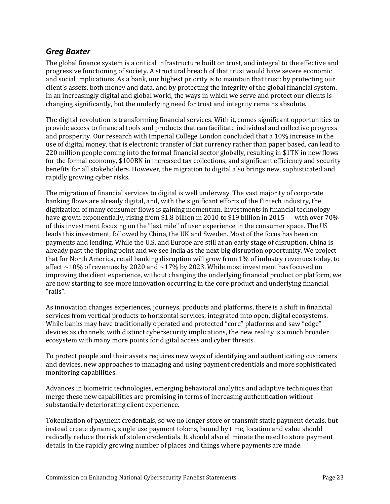#### *Greg Baxter*

The global finance system is a critical infrastructure built on trust, and integral to the effective and progressive functioning of society. A structural breach of that trust would have severe economic and social implications. As a bank, our highest priority is to maintain that trust: by protecting our client's assets, both money and data, and by protecting the integrity of the global financial system. In an increasingly digital and global world, the ways in which we serve and protect our clients is changing significantly, but the underlying need for trust and integrity remains absolute.

The digital revolution is transforming financial services. With it, comes significant opportunities to provide access to financial tools and products that can facilitate individual and collective progress and prosperity. Our research with Imperial College London concluded that a 10% increase in the use of digital money, that is electronic transfer of fiat currency rather than paper based, can lead to 220 million people coming into the formal financial sector globally, resulting in \$1TN in new flows for the formal economy, \$100BN in increased tax collections, and significant efficiency and security benefits for all stakeholders. However, the migration to digital also brings new, sophisticated and rapidly growing cyber risks.

The migration of financial services to digital is well underway. The vast majority of corporate banking flows are already digital, and, with the significant efforts of the Fintech industry, the digitization of many consumer flows is gaining momentum. Investments in financial technology have grown exponentially, rising from \$1.8 billion in 2010 to \$19 billion in 2015 — with over 70% of this investment focusing on the "last mile" of user experience in the consumer space. The US leads this investment, followed by China, the UK and Sweden. Most of the focus has been on payments and lending. While the U.S. and Europe are still at an early stage of disruption, China is already past the tipping point and we see India as the next big disruption opportunity. We project that for North America, retail banking disruption will grow from 1% of industry revenues today, to affect  $\sim$  10% of revenues by 2020 and  $\sim$  17% by 2023. While most investment has focused on improving the client experience, without changing the underlying financial product or platform, we are now starting to see more innovation occurring in the core product and underlying financial "rails".

As innovation changes experiences, journeys, products and platforms, there is a shift in financial services from vertical products to horizontal services, integrated into open, digital ecosystems. While banks may have traditionally operated and protected "core" platforms and saw "edge" devices as channels, with distinct cybersecurity implications, the new reality is a much broader ecosystem with many more points for digital access and cyber threats.

To protect people and their assets requires new ways of identifying and authenticating customers and devices, new approaches to managing and using payment credentials and more sophisticated monitoring capabilities.

Advances in biometric technologies, emerging behavioral analytics and adaptive techniques that merge these new capabilities are promising in terms of increasing authentication without substantially deteriorating client experience.

Tokenization of payment credentials, so we no longer store or transmit static payment details, but instead create dynamic, single use payment tokens, bound by time, location and value should radically reduce the risk of stolen credentials. It should also eliminate the need to store payment details in the rapidly growing number of places and things where payments are made.